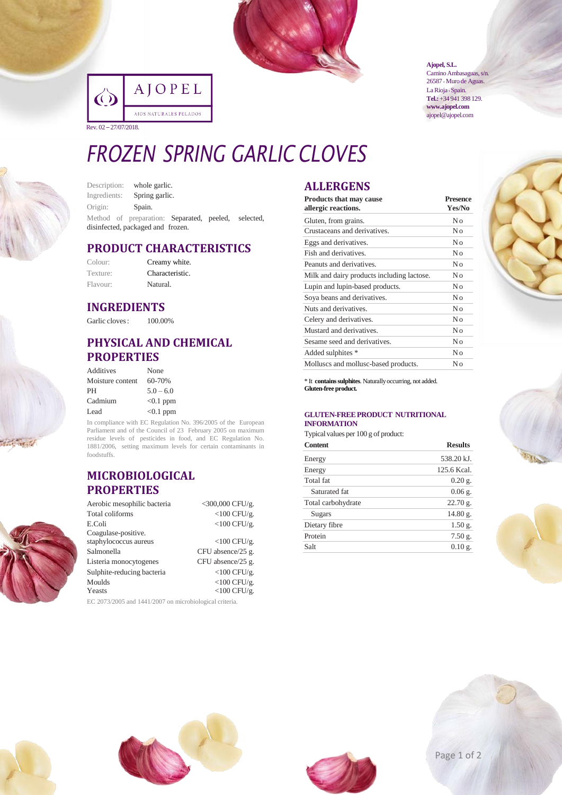

|                       | AJOPEL                 |
|-----------------------|------------------------|
|                       | AJOS NATURALES PELADOS |
| Rev. 02 – 27/07/2018. |                        |

**Ajopel, S.L.**

Camino Ambasaguas, s/n. 26587 • Muro de Aguas. La Rioja · Spain. **Tel.:**+34 941 398 129. **www.ajopel.com** ajopel@ajopel.com

# *FROZEN SPRING GARLIC CLOVES*

| Description: | whole garlic.                                                                            |  |
|--------------|------------------------------------------------------------------------------------------|--|
| Ingredients: | Spring garlic.                                                                           |  |
| Origin:      | Spain.                                                                                   |  |
|              | Method of preparation: Separated, peeled, selected,<br>disinfected, packaged and frozen. |  |

## **PRODUCT CHARACTERISTICS**

| Colour:  | Creamy white.   |
|----------|-----------------|
| Texture: | Characteristic. |
| Flavour: | Natural.        |

## **INGREDIENTS**

Garlic cloves:  $100.00\%$ 

## **PHYSICAL AND CHEMICAL PROPERTIES**

| Additives        | None        |
|------------------|-------------|
| Moisture content | 60-70%      |
| PH               | $5.0 - 6.0$ |
| Cadmium          | $<0.1$ ppm  |
| Lead             | $< 0.1$ ppm |

In compliance with EC Regulation No. 396/2005 of the European Parliament and of the Council of 23 February 2005 on maximum residue levels of pesticides in food, and EC Regulation No. 1881/2006, setting maximum levels for certain contaminants in foodstuffs.

### **MICROBIOLOGICAL PROPERTIES**

| Aerobic mesophilic bacteria | $<$ 300,000 CFU/g. |
|-----------------------------|--------------------|
| Total coliforms             | $<$ 100 CFU/g.     |
| E.Coli                      | $<$ 100 CFU/g.     |
| Coagulase-positive.         |                    |
| staphylococcus aureus       | $<$ 100 CFU/g.     |
| Salmonella                  | CFU absence/25 g.  |
| Listeria monocytogenes      | CFU absence/25 g.  |
| Sulphite-reducing bacteria  | $<$ 100 CFU/g.     |
| Moulds                      | $<$ 100 CFU/g.     |
| Yeasts                      | $<$ 100 CFU/g.     |
|                             |                    |

EC 2073/2005 and 1441/2007 on microbiological criteria.

## **ALLERGENS**

| <b>Products that may cause</b><br>allergic reactions. | <b>Presence</b><br>Yes/No |  |
|-------------------------------------------------------|---------------------------|--|
| Gluten, from grains.                                  | No                        |  |
| Crustaceans and derivatives.                          | No                        |  |
| Eggs and derivatives.                                 | No                        |  |
| Fish and derivatives.                                 | No                        |  |
| Peanuts and derivatives.                              | No                        |  |
| Milk and dairy products including lactose.            | No                        |  |
| Lupin and lupin-based products.                       | No                        |  |
| Soya beans and derivatives.                           | No                        |  |
| Nuts and derivatives.                                 | No                        |  |
| Celery and derivatives.                               | No                        |  |
| Mustard and derivatives.                              | No                        |  |
| Sesame seed and derivatives.                          | No                        |  |
| Added sulphites *                                     | No                        |  |
| Molluscs and mollusc-based products.                  | Nο                        |  |

\* It **containssulphites**. Naturallyoccurring, not added. **Gluten-free product.**

#### **GLUTEN-FREEPRODUCT NUTRITIONAL INFORMATION**

Typical values per 100 g of product:

| <b>Content</b>     | <b>Results</b>     |  |
|--------------------|--------------------|--|
| Energy             | 538.20 kJ.         |  |
| Energy             | 125.6 Kcal.        |  |
| Total fat          | $0.20$ g.          |  |
| Saturated fat      | $0.06$ g.          |  |
| Total carbohydrate | $22.70$ g.         |  |
| Sugars             | 14.80 g.           |  |
| Dietary fibre      | 1.50 g.            |  |
| Protein            | $7.50$ g.          |  |
| Salt               | $0.10 \text{ g}$ . |  |